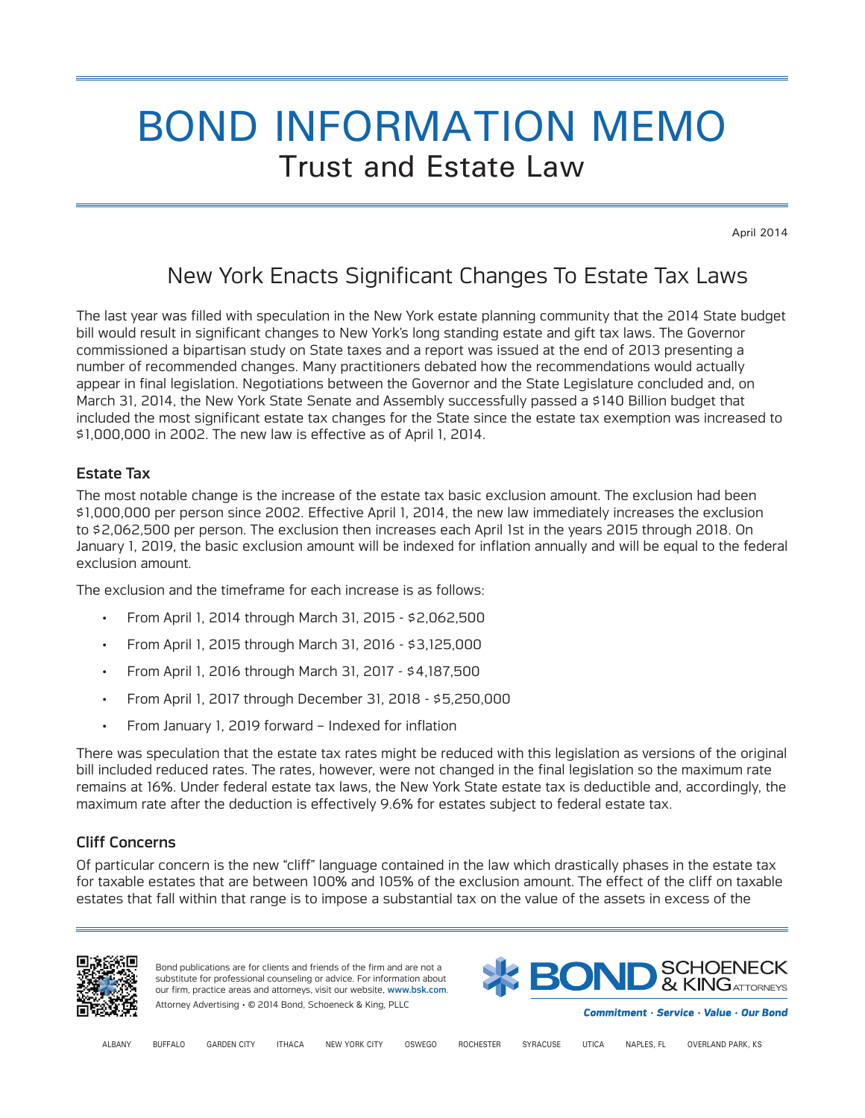# BOND INFORMATION MEMO Trust and Estate Law

April 2014

## New York Enacts Significant Changes To Estate Tax Laws

The last year was filled with speculation in the New York estate planning community that the 2014 State budget bill would result in significant changes to New York's long standing estate and gift tax laws. The Governor commissioned a bipartisan study on State taxes and a report was issued at the end of 2013 presenting a number of recommended changes. Many practitioners debated how the recommendations would actually appear in final legislation. Negotiations between the Governor and the State Legislature concluded and, on March 31, 2014, the New York State Senate and Assembly successfully passed a \$140 Billion budget that included the most significant estate tax changes for the State since the estate tax exemption was increased to \$1,000,000 in 2002. The new law is effective as of April 1, 2014.

## Estate Tax

The most notable change is the increase of the estate tax basic exclusion amount. The exclusion had been \$1,000,000 per person since 2002. Effective April 1, 2014, the new law immediately increases the exclusion to \$2,062,500 per person. The exclusion then increases each April 1st in the years 2015 through 2018. On January 1, 2019, the basic exclusion amount will be indexed for inflation annually and will be equal to the federal exclusion amount.

The exclusion and the timeframe for each increase is as follows:

- From April 1, 2014 through March 31, 2015 \$2,062,500
- From April 1, 2015 through March 31, 2016 \$3,125,000
- From April 1, 2016 through March 31, 2017 \$4,187,500
- From April 1, 2017 through December 31, 2018 \$5,250,000
- From January 1, 2019 forward Indexed for inflation

There was speculation that the estate tax rates might be reduced with this legislation as versions of the original bill included reduced rates. The rates, however, were not changed in the final legislation so the maximum rate remains at 16%. Under federal estate tax laws, the New York State estate tax is deductible and, accordingly, the maximum rate after the deduction is effectively 9.6% for estates subject to federal estate tax.

## Cliff Concerns

Of particular concern is the new "cliff" language contained in the law which drastically phases in the estate tax for taxable estates that are between 100% and 105% of the exclusion amount. The effect of the cliff on taxable estates that fall within that range is to impose a substantial tax on the value of the assets in excess of the



Bond publications are for clients and friends of the firm and are not a substitute for professional counseling or advice. For information about our firm, practice areas and attorneys, visit our website, www.bsk.com. Attorney Advertising • © 2014 Bond, Schoeneck & King, PLLC



Commitment · Service · Value · Our Bond